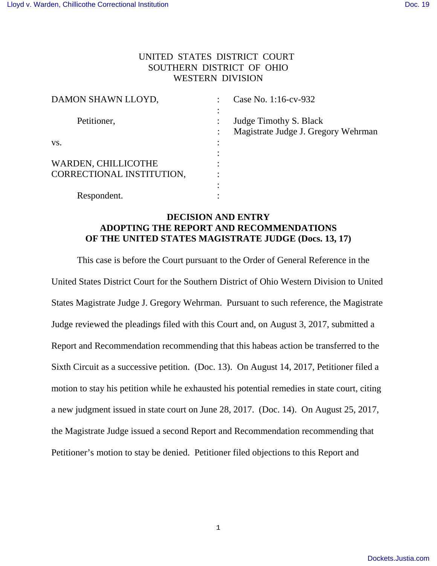## UNITED STATES DISTRICT COURT SOUTHERN DISTRICT OF OHIO WESTERN DIVISION

| DAMON SHAWN LLOYD,        | Case No. 1:16-cv-932                |
|---------------------------|-------------------------------------|
|                           |                                     |
| Petitioner,               | Judge Timothy S. Black              |
|                           | Magistrate Judge J. Gregory Wehrman |
| VS.                       |                                     |
|                           |                                     |
| WARDEN, CHILLICOTHE       |                                     |
| CORRECTIONAL INSTITUTION, |                                     |
|                           |                                     |
| Respondent.               |                                     |

## **DECISION AND ENTRY ADOPTING THE REPORT AND RECOMMENDATIONS OF THE UNITED STATES MAGISTRATE JUDGE (Docs. 13, 17)**

This case is before the Court pursuant to the Order of General Reference in the United States District Court for the Southern District of Ohio Western Division to United States Magistrate Judge J. Gregory Wehrman. Pursuant to such reference, the Magistrate Judge reviewed the pleadings filed with this Court and, on August 3, 2017, submitted a Report and Recommendation recommending that this habeas action be transferred to the Sixth Circuit as a successive petition. (Doc. 13). On August 14, 2017, Petitioner filed a motion to stay his petition while he exhausted his potential remedies in state court, citing a new judgment issued in state court on June 28, 2017. (Doc. 14). On August 25, 2017, the Magistrate Judge issued a second Report and Recommendation recommending that Petitioner's motion to stay be denied. Petitioner filed objections to this Report and